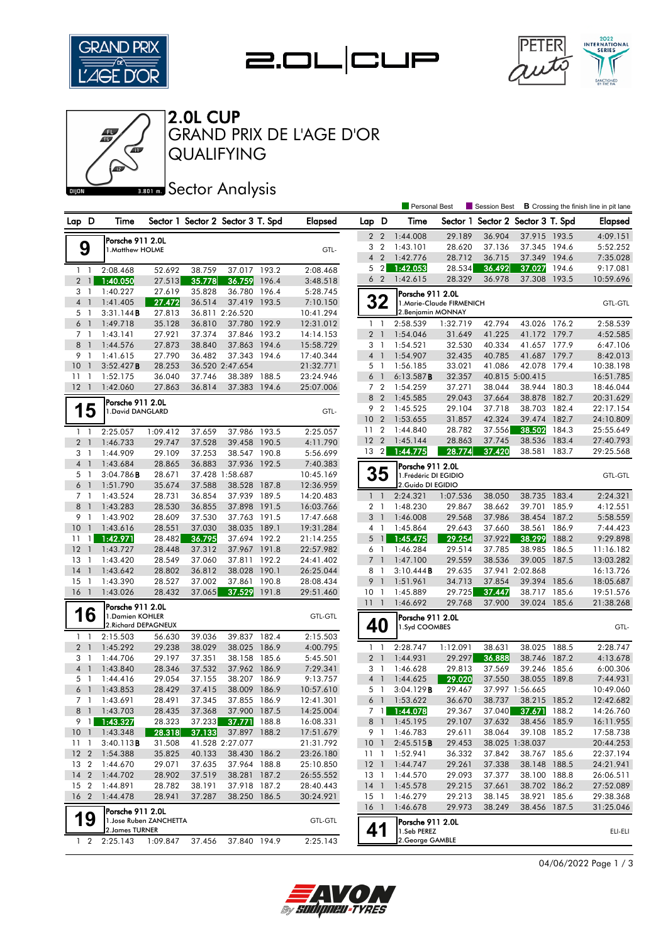





04/06/2022 Page 1 / 3



QUALIFYING GRAND PRIX DE L'AGE D'OR 2.0L CUP

## **Bector Analysis**

|                                       |                      |                         |                  |                                   |       |                        |                                 |                                  | Personal Best                   |                          | Session Best                      |                              |                | <b>B</b> Crossing the finish line in pit lane |
|---------------------------------------|----------------------|-------------------------|------------------|-----------------------------------|-------|------------------------|---------------------------------|----------------------------------|---------------------------------|--------------------------|-----------------------------------|------------------------------|----------------|-----------------------------------------------|
| Lap D                                 | Time                 |                         |                  | Sector 1 Sector 2 Sector 3 T. Spd |       | <b>Elapsed</b>         | Lap D                           |                                  | Time                            |                          | Sector 1 Sector 2 Sector 3 T. Spd |                              |                | <b>Elapsed</b>                                |
|                                       | Porsche 911 2.0L     |                         |                  |                                   |       |                        | $\mathbf{2}$                    | $\overline{2}$                   | 1:44.008                        | 29.189                   | 36.904                            | 37.915 193.5                 |                | 4:09.151                                      |
| 9                                     | 1.Matthew HOLME      |                         |                  |                                   |       | GTL-                   |                                 | 3 <sub>2</sub>                   | 1:43.101                        | 28.620                   | 37.136                            | 37.345 194.6                 |                | 5:52.252                                      |
|                                       |                      |                         |                  |                                   |       |                        | $\overline{4}$                  | $\overline{2}$                   | 1:42.776                        | 28.712                   | 36.715                            | 37.349                       | 194.6          | 7:35.028                                      |
| $1\quad$                              | 2:08.468             | 52.692                  | 38.759           | 37.017 193.2                      |       | 2:08.468               | 5                               | $\overline{2}$                   | 1:42.053                        | 28.534                   | 36.492                            | 37.027                       | 194.6          | 9:17.081                                      |
| $2 \mid$                              | 1:40.050             | 27.513                  | 35.778           | 36.759                            | 196.4 | 3:48.518               |                                 | 6 <sub>2</sub>                   | 1:42.615                        | 28.329                   | 36.978                            | 37.308                       | 193.5          | 10:59.696                                     |
| 3<br>-1                               | 1:40.227             | 27.619                  | 35.828           | 36.780                            | 196.4 | 5:28.745               |                                 |                                  | Porsche 911 2.0L                |                          |                                   |                              |                |                                               |
| $\overline{4}$<br>$\overline{1}$      | 1:41.405             | 27.472                  | 36.514           | 37.419                            | 193.5 | 7:10.150               |                                 | 32                               |                                 | 1.Marie-Claude FIRMENICH |                                   |                              |                | <b>GTL-GTL</b>                                |
| 5<br>- 1                              | 3:31.144B            | 27.813                  |                  | 36.811 2:26.520                   |       | 10:41.294              |                                 |                                  | 2. Benjamin MONNAY              |                          |                                   |                              |                |                                               |
| 6<br>$\overline{1}$                   | 1:49.718             | 35.128                  | 36.810           | 37.780                            | 192.9 | 12:31.012              | $\mathbf{1}$                    | -1                               | 2:58.539                        | 1:32.719                 | 42.794                            | 43.026                       | 176.2          | 2:58.539                                      |
| 7 1                                   | 1:43.141             | 27.921                  | 37.374           | 37.846 193.2                      |       | 14:14.153              |                                 | $2-1$                            | 1:54.046                        | 31.649                   | 41.225                            | 41.172 179.7                 |                | 4:52.585                                      |
| 8<br>$\mathbf{1}$                     | 1:44.576             | 27.873                  | 38.840           | 37.863                            | 194.6 | 15:58.729              |                                 | 3 1                              | 1:54.521                        | 32.530                   | 40.334                            | 41.657 177.9                 |                | 6:47.106                                      |
| 9<br>$\overline{1}$                   | 1:41.615             | 27.790                  | 36.482           | 37.343                            | 194.6 | 17:40.344              |                                 | 4 <sup>1</sup>                   | 1:54.907                        | 32.435                   | 40.785                            | 41.687 179.7                 |                | 8:42.013                                      |
| 10<br>$\overline{1}$                  | 3:52.427B            | 28.253                  |                  | 36.520 2:47.654                   |       | 21:32.771              |                                 | 5 1                              | 1:56.185                        | 33.021                   | 41.086                            | 42.078 179.4                 |                | 10:38.198                                     |
| 11<br>$\overline{1}$                  | 1:52.175             | 36.040                  | 37.746           | 38.389                            | 188.5 | 23:24.946              | 6                               | $\overline{\phantom{a}}$         | 6:13.587B                       | 32.357                   |                                   | 40.815 5:00.415              |                | 16:51.785                                     |
| 12 <sup>2</sup><br>$\overline{1}$     | 1:42.060             | 27.863                  | 36.814           | 37.383 194.6                      |       | 25:07.006              |                                 | 7 <sub>2</sub>                   | 1:54.259                        | 37.271                   | 38.044                            | 38.944 180.3                 |                | 18:46.044                                     |
|                                       | Porsche 911 2.0L     |                         |                  |                                   |       |                        | 8                               | $\overline{2}$                   | 1:45.585                        | 29.043                   | 37.664                            | 38.878                       | 182.7          | 20:31.629                                     |
| 5                                     | 1. David DANGLARD    |                         |                  |                                   |       | GTL-                   |                                 | 9 2                              | 1:45.525                        | 29.104                   | 37.718                            | 38.703                       | 182.4          | 22:17.154                                     |
|                                       |                      |                         |                  |                                   |       |                        | 10                              | $\overline{2}$                   | 1:53.655                        | 31.857                   | 42.324                            | 39.474                       | 182.7          | 24:10.809                                     |
| 1<br>-1                               | 2:25.057             | 1:09.412                | 37.659           | 37.986 193.5                      |       | 2:25.057               | 11                              | $\overline{2}$                   | 1:44.840                        | 28.782                   | 37.556                            | 38.502                       | 184.3          | 25:55.649                                     |
| $\overline{2}$<br>$\overline{1}$      | 1:46.733             | 29.747                  | 37.528           | 39.458 190.5                      |       | 4:11.790               | 12 <sub>2</sub><br>$13 \quad 2$ |                                  | 1:45.144                        | 28.863                   | 37.745<br>37.420                  | 38.536<br>38.581             | 183.4<br>183.7 | 27:40.793                                     |
| 3<br>$\overline{1}$                   | 1:44.909             | 29.109                  | 37.253           | 38.547 190.8                      |       | 5:56.699               |                                 |                                  | 1:44.775                        | 28.774                   |                                   |                              |                | 29:25.568                                     |
| $\overline{4}$<br>$\overline{1}$      | 1:43.684             | 28.865                  | 36.883           | 37.936                            | 192.5 | 7:40.383               |                                 |                                  | Porsche 911 2.0L                |                          |                                   |                              |                |                                               |
| 5<br>$\overline{1}$                   | 3:04.786B            | 28.671                  |                  | 37.428 1:58.687                   |       | 10:45.169              |                                 | 35                               | 1. Frédéric DI EGIDIO           |                          |                                   |                              |                | <b>GTL-GTL</b>                                |
| 6<br>$\overline{1}$                   | 1:51.790             | 35.674                  | 37.588           | 38.528                            | 187.8 | 12:36.959              |                                 |                                  | 2. Guido DI EGIDIO              |                          |                                   |                              |                |                                               |
| 7 <sup>1</sup><br>8<br>$\overline{1}$ | 1:43.524             | 28.731                  | 36.854           | 37.939 189.5                      |       | 14:20.483              |                                 | $1\quad$                         | 2:24.321<br>1:48.230            | 1:07.536<br>29.867       | 38.050<br>38.662                  | 38.735 183.4<br>39.701       |                | 2:24.321                                      |
| 9<br>$\overline{1}$                   | 1:43.283<br>1:43.902 | 28.530<br>28.609        | 36.855<br>37.530 | 37.898 191.5<br>37.763 191.5      |       | 16:03.766<br>17:47.668 | 3                               | 2 <sub>1</sub><br>$\overline{1}$ | 1:46.008                        | 29.568                   | 37.986                            | 38.454                       | 185.9<br>187.2 | 4:12.551<br>5:58.559                          |
| 10<br>$\overline{1}$                  | 1:43.616             | 28.551                  | 37.030           | 38.035 189.1                      |       | 19:31.284              |                                 | 4 1                              | 1:45.864                        | 29.643                   | 37.660                            | 38.561                       | 186.9          | 7:44.423                                      |
| $\overline{1}$<br>11                  | 1:42.971             | 28.482                  | 36.795           | 37.694 192.2                      |       | 21:14.255              | 5                               | $\mathbf{1}$                     | 1:45.475                        | 29.254                   | 37.922                            | 38.299                       | 188.2          | 9:29.898                                      |
| 12<br>$\overline{1}$                  | 1:43.727             | 28.448                  | 37.312           | 37.967 191.8                      |       | 22:57.982              |                                 | 6 1                              | 1:46.284                        | 29.514                   | 37.785                            | 38.985                       | 186.5          | 11:16.182                                     |
| 13<br>-1                              | 1:43.420             | 28.549                  | 37.060           | 37.811                            | 192.2 | 24:41.402              | $\overline{7}$                  | $\overline{1}$                   | 1:47.100                        | 29.559                   | 38.536                            | 39.005                       | 187.5          | 13:03.282                                     |
| 14<br>$\overline{1}$                  | 1:43.642             | 28.802                  | 36.812           | 38.028 190.1                      |       | 26:25.044              | 8                               | -1                               | 3:10.444B                       | 29.635                   |                                   | 37.941 2:02.868              |                | 16:13.726                                     |
| 15<br>$\overline{1}$                  | 1:43.390             | 28.527                  | 37.002           | 37.861                            | 190.8 | 28:08.434              | 9                               | $\overline{1}$                   | 1:51.961                        | 34.713                   | 37.854                            | 39.394                       | 185.6          | 18:05.687                                     |
| 16<br>$\overline{1}$                  | 1:43.026             | 28.432                  | 37.065           | 37.529                            | 191.8 | 29:51.460              | 10 <sub>1</sub>                 |                                  | 1:45.889                        | 29.725                   | 37.447                            | 38.717                       | 185.6          | 19:51.576                                     |
|                                       | Porsche 911 2.0L     |                         |                  |                                   |       |                        | 111                             |                                  | 1:46.692                        | 29.768                   | 37.900                            | 39.024 185.6                 |                | 21:38.268                                     |
| 6                                     | 1. Damien KOHLER     |                         |                  |                                   |       | <b>GTL-GTL</b>         |                                 |                                  | Porsche 911 2.0L                |                          |                                   |                              |                |                                               |
|                                       | 2. Richard DEPAGNEUX |                         |                  |                                   |       |                        | 40                              | 1.Syd COOMBES                    |                                 |                          | GTL-                              |                              |                |                                               |
| $1\quad$                              | 2:15.503             | 56.630                  | 39.036           | 39.837 182.4                      |       | 2:15.503               |                                 |                                  |                                 |                          |                                   |                              |                |                                               |
| $\overline{2}$<br>$\overline{1}$      | 1:45.292             | 29.238                  | 38.029           | 38.025 186.9                      |       | 4:00.795               | 1                               |                                  | 2:28.747                        | 1:12.091                 | 38.631                            | 38.025                       | 188.5          | 2:28.747                                      |
| 3<br>-1                               | 1:44.706             | 29.197                  | 37.351           | 38.158 185.6                      |       | 5:45.501               |                                 | 2 <sub>1</sub>                   | 1:44.931                        | 29.297                   | 36.888                            | 38.746                       | 187.2          | 4:13.678                                      |
| $\overline{4}$<br>$\overline{1}$      | 1:43.840             | 28.346                  | 37.532           | 37.962 186.9                      |       | 7:29.341               |                                 | 3 <sub>1</sub>                   | 1:46.628                        | 29.813                   | 37.569                            | 39.246 185.6                 |                | 6:00.306                                      |
| 5<br>- 1                              | 1:44.416             | 29.054                  | 37.155           | 38.207 186.9                      |       | 9:13.757               | $\overline{4}$                  | $\overline{1}$                   | 1:44.625                        | 29.020                   | 37.550                            | 38.055                       | 189.8          | 7:44.931                                      |
| 6<br>$\overline{1}$                   | 1:43.853             | 28.429                  | 37.415           | 38.009                            | 186.9 | 10:57.610              |                                 | 5 1                              | 3:04.129B                       | 29.467                   |                                   | 37.997 1:56.665              |                | 10:49.060                                     |
| 7 <sub>1</sub>                        | 1:43.691             | 28.491                  | 37.345           | 37.855 186.9                      |       | 12:41.301              | 6                               | $\overline{1}$                   | 1:53.622                        | 36.670                   | 38.737                            | 38.215 185.2                 |                | 12:42.682                                     |
| 81                                    | 1:43.703             | 28.435                  | 37.368           | 37.900 187.5                      |       | 14:25.004              |                                 |                                  | 7 1 1:44.078                    | 29.367                   |                                   | 37.040 37.671 188.2          |                | 14:26.760                                     |
| 9 1                                   | 1:43.327             | 28.323                  | 37.233           | 37.771                            | 188.8 | 16:08.331              |                                 | 8 1                              | 1:45.195                        | 29.107                   | 37.632                            | 38.456 185.9                 |                | 16:11.955                                     |
| 10 <sub>1</sub>                       | 1:43.348             | 28.318                  | 37.133           | 37.897 188.2                      |       | 17:51.679              |                                 | 91                               | 1:46.783                        | 29.611                   | 38.064                            | 39.108 185.2                 |                | 17:58.738                                     |
| $11-1$                                | 3:40.113B            | 31.508                  |                  | 41.528 2:27.077                   |       | 21:31.792              | 10 <sub>1</sub>                 |                                  | 2:45.515B                       | 29.453                   |                                   | 38.025 1:38.037              |                | 20:44.253                                     |
| $12 \quad 2$                          | 1:54.388             | 35.825                  | 40.133           | 38.430 186.2                      |       | 23:26.180              | $11-1$                          |                                  | 1:52.941                        | 36.332                   | 37.842                            | 38.767 185.6                 |                | 22:37.194                                     |
| 13 <sub>2</sub>                       | 1:44.670             | 29.071                  | 37.635           | 37.964 188.8                      |       | 25:10.850              | $12-1$                          |                                  | 1:44.747                        | 29.261                   | 37.338                            | 38.148 188.5                 |                | 24:21.941                                     |
| $14 \quad 2$                          | 1:44.702             | 28.902                  | 37.519           | 38.281 187.2                      |       | 26:55.552              | 13 1                            |                                  | 1:44.570                        | 29.093                   | 37.377                            | 38.100 188.8                 |                | 26:06.511                                     |
| 15 2<br>16 <sub>2</sub>               | 1:44.891<br>1:44.478 | 28.782                  | 38.191<br>37.287 | 37.918 187.2<br>38.250 186.5      |       | 28:40.443              | $14-1$                          |                                  | 1:45.578                        | 29.215                   | 37.661                            | 38.702 186.2<br>38.921 185.6 |                | 27:52.089<br>29:38.368                        |
|                                       |                      | 28.941                  |                  |                                   |       | 30:24.921              | $15-1$<br>$16-1$                |                                  | 1:46.279<br>1:46.678            | 29.213<br>29.973         | 38.145<br>38.249                  | 38.456 187.5                 |                | 31:25.046                                     |
|                                       | Porsche 911 2.0L     |                         |                  |                                   |       | <b>GTL-GTL</b>         |                                 |                                  |                                 |                          |                                   |                              |                |                                               |
| 19                                    |                      | 1. Jose Ruben ZANCHETTA |                  |                                   |       |                        |                                 |                                  | Porsche 911 2.0L                |                          |                                   |                              |                |                                               |
|                                       | 2. James TURNER      |                         |                  |                                   |       |                        |                                 | 41                               | 1.Seb PEREZ<br>2. George GAMBLE |                          |                                   |                              |                | ELI-ELI                                       |
| $1\quad 2$                            | 2:25.143             | 1:09.847                | 37.456           | 37.840 194.9                      |       | 2:25.143               |                                 |                                  |                                 |                          |                                   |                              |                |                                               |

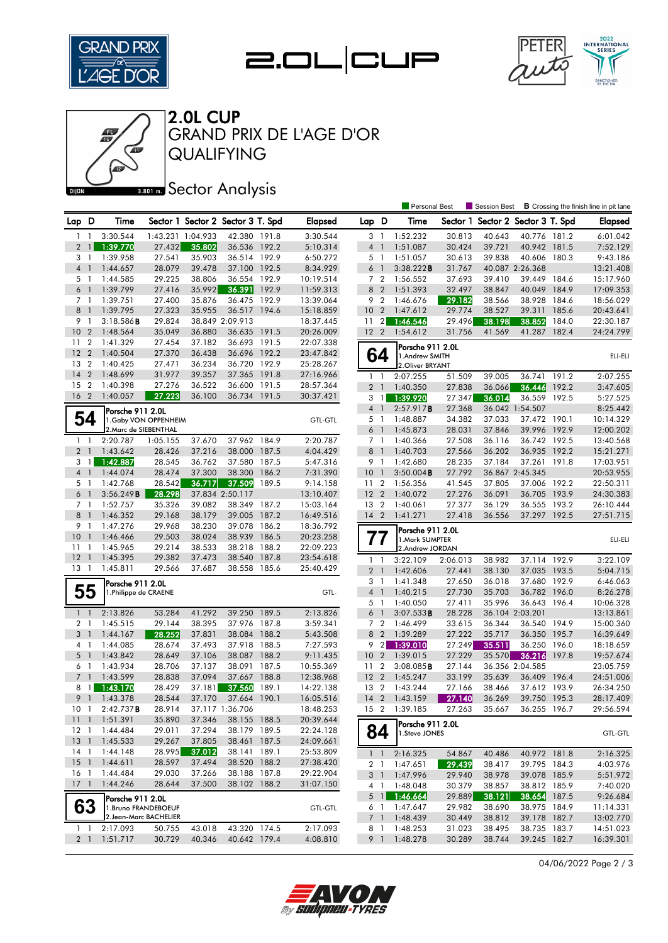







QUALIFYING GRAND PRIX DE L'AGE D'OR 2.0L CUP

## **Ban B** Sector Analysis

|                 |                          |                                           |          |                                   |                 |       |                |                 |                | <b>Personal Best</b>               |          | <b>Session Best</b> |                          |       | <b>B</b> Crossing the finish line in pit lane |
|-----------------|--------------------------|-------------------------------------------|----------|-----------------------------------|-----------------|-------|----------------|-----------------|----------------|------------------------------------|----------|---------------------|--------------------------|-------|-----------------------------------------------|
| Lap D           |                          | Time                                      |          | Sector 1 Sector 2 Sector 3 T. Spd |                 |       | <b>Elapsed</b> | Lap D           |                | Time                               | Sector 1 |                     | Sector 2 Sector 3 T. Spd |       | <b>Elapsed</b>                                |
| 1.              | $\mathbf{1}$             | 3:30.544                                  |          | 1:43.231 1:04.933                 | 42.380 191.8    |       | 3:30.544       | 3               | $\overline{1}$ | 1:52.232                           | 30.813   | 40.643              | 40.776 181.2             |       | 6:01.042                                      |
| $\overline{2}$  | $\mathbf{1}$             | 1:39.770                                  | 27.432   | 35.802                            | 36.536 192.2    |       | 5:10.314       | $4-1$           |                | 1:51.087                           | 30.424   | 39.721              | 40.942 181.5             |       | 7:52.129                                      |
| 3 1             |                          | 1:39.958                                  | 27.541   | 35.903                            | 36.514 192.9    |       | 6:50.272       | 5 1             |                | 1:51.057                           | 30.613   | 39.838              | 40.606                   | 180.3 | 9:43.186                                      |
| $\overline{4}$  | $\overline{1}$           | 1:44.657                                  | 28.079   | 39.478                            | 37.100 192.5    |       | 8:34.929       | 6               | $\overline{1}$ | 3:38.222B                          | 31.767   |                     | 40.087 2:26.368          |       | 13:21.408                                     |
| 5 <sub>1</sub>  |                          | 1:44.585                                  | 29.225   | 38.806                            | 36.554 192.9    |       | 10:19.514      | 7 <sub>2</sub>  |                | 1:56.552                           | 37.693   | 39.410              | 39.449 184.6             |       | 15:17.960                                     |
| $6-1$           |                          | 1:39.799                                  | 27.416   | 35.992                            | 36.391          | 192.9 | 11:59.313      | 8 2             |                | 1:51.393                           | 32.497   | 38.847              | 40.049                   | 184.9 | 17:09.353                                     |
| 7 <sub>1</sub>  |                          | 1:39.751                                  | 27.400   | 35.876                            | 36.475 192.9    |       | 13:39.064      | 9 <sub>2</sub>  |                | 1:46.676                           | 29.182   | 38.566              | 38.928                   | 184.6 | 18:56.029                                     |
| 8               | $\overline{1}$           | 1:39.795                                  | 27.323   | 35.955                            | 36.517          | 194.6 | 15:18.859      | 10 <sub>2</sub> |                | 1:47.612                           | 29.774   | 38.527              | 39.311                   | 185.6 | 20:43.641                                     |
| 9               | $\mathbf{1}$             | $3:18.586$ <b>B</b>                       | 29.824   |                                   | 38.849 2:09.913 |       | 18:37.445      | 11              | $\overline{2}$ | 1:46.546                           | 29.496   | 38.198              | 38.852                   | 184.0 | 22:30.187                                     |
| 10              | $\overline{2}$           | 1:48.564                                  | 35.049   | 36.880                            | 36.635 191.5    |       | 20:26.009      | 12 <sup>2</sup> |                | 1:54.612                           | 31.756   | 41.569              | 41.287                   | 182.4 | 24:24.799                                     |
| 11              | $\overline{2}$           | 1:41.329                                  | 27.454   | 37.182                            | 36.693          | 191.5 | 22:07.338      |                 |                |                                    |          |                     |                          |       |                                               |
| 12              | $\overline{2}$           | 1:40.504                                  | 27.370   | 36.438                            | 36.696 192.2    |       | 23:47.842      |                 | 64             | Porsche 911 2.0L                   |          |                     |                          |       |                                               |
| 13              | $\overline{2}$           | 1:40.425                                  | 27.471   | 36.234                            | 36.720          | 192.9 | 25:28.267      |                 |                | 1.Andrew SMITH<br>2. Oliver BRYANT |          |                     |                          |       | ELI-ELI                                       |
| 14              | $\overline{2}$           | 1:48.699                                  | 31.977   | 39.357                            | 37.365          | 191.8 | 27:16.966      | $1\quad$        |                | 2:07.255                           | 51.509   | 39.005              | 36.741                   | 191.2 | 2:07.255                                      |
| 15              | $\overline{2}$           | 1:40.398                                  | 27.276   | 36.522                            | 36.600          | 191.5 | 28:57.364      | 2 <sub>1</sub>  |                | 1:40.350                           | 27.838   | 36.066              | 36.446                   | 192.2 | 3:47.605                                      |
| 16              | $\overline{2}$           | 1:40.057                                  | 27.223   | 36.100                            | 36.734 191.5    |       | 30:37.421      | 3               | $\overline{1}$ | 1:39.920                           | 27.347   | 36.014              | 36.559                   | 192.5 | 5:27.525                                      |
|                 |                          |                                           |          |                                   |                 |       |                | $\overline{4}$  | $\overline{1}$ | 2:57.917B                          | 27.368   |                     | 36.042 1:54.507          |       | 8:25.442                                      |
| 54              |                          | Porsche 911 2.0L<br>1. Gaby VON OPPENHEIM |          |                                   |                 |       | <b>GTL-GTL</b> | 5 <sub>1</sub>  |                | 1:48.887                           | 34.382   | 37.033              | 37.472 190.1             |       | 10:14.329                                     |
|                 |                          | 2. Marc de SIEBENTHAL                     |          |                                   |                 |       |                | 6 <sup>1</sup>  |                | 1:45.873                           | 28.031   | 37.846              | 39.996 192.9             |       | 12:00.202                                     |
| $1\quad$        |                          | 2:20.787                                  | 1:05.155 | 37.670                            | 37.962 184.9    |       | 2:20.787       | 7 <sub>1</sub>  |                | 1:40.366                           | 27.508   | 36.116              | 36.742 192.5             |       | 13:40.568                                     |
| 2 <sub>1</sub>  |                          | 1:43.642                                  | 28.426   | 37.216                            | 38.000          | 187.5 | 4:04.429       | 8               | $\overline{1}$ | 1:40.703                           | 27.566   | 36.202              | 36.935                   | 192.2 | 15:21.271                                     |
| 3               | $\mathbf{1}$             | 1:42.887                                  | 28.545   | 36.762                            | 37.580          | 187.5 | 5:47.316       | 9               | -1             | 1:42.680                           | 28.235   | 37.184              | 37.261 191.8             |       | 17:03.951                                     |
| 4 <sub>1</sub>  |                          | 1:44.074                                  | 28.474   | 37.300                            | 38.300          | 186.2 | 7:31.390       | 10              | $\overline{1}$ | $3:50.004$ B                       | 27.792   |                     | 36.867 2:45.345          |       | 20:53.955                                     |
| 5 <sub>1</sub>  |                          | 1:42.768                                  | 28.542   | 36.717                            | 37.509          | 189.5 | 9:14.158       | 11              | $\overline{2}$ | 1:56.356                           | 41.545   | 37.805              | 37.006 192.2             |       | 22:50.311                                     |
| 6 <sup>1</sup>  |                          | $3:56.249$ <b>B</b>                       | 28.298   |                                   | 37.834 2:50.117 |       | 13:10.407      | 12 <sub>2</sub> |                | 1:40.072                           | 27.276   | 36.091              | 36.705 193.9             |       | 24:30.383                                     |
| 7 <sub>1</sub>  |                          | 1:52.757                                  | 35.326   | 39.082                            | 38.349          | 187.2 | 15:03.164      | 13 2            |                | 1:40.061                           | 27.377   | 36.129              | 36.555 193.2             |       | 26:10.444                                     |
| 8               | $\overline{1}$           | 1:46.352                                  | 29.168   | 38.179                            | 39.005          | 187.2 | 16:49.516      | $14 \quad 2$    |                | 1:41.271                           | 27.418   | 36.556              | 37.297 192.5             |       | 27:51.715                                     |
| 9               | $\overline{1}$           | 1:47.276                                  | 29.968   | 38.230                            | 39.078          | 186.2 | 18:36.792      |                 |                |                                    |          |                     |                          |       |                                               |
| 10              | $\overline{1}$           | 1:46.466                                  | 29.503   | 38.024                            | 38.939          | 186.5 | 20:23.258      |                 |                | Porsche 911 2.0L<br>1.Mark SUMPTER |          |                     |                          |       | ELI-ELI                                       |
| 11              | $\mathbf{1}$             | 1:45.965                                  | 29.214   | 38.533                            | 38.218          | 188.2 | 22:09.223      | $\prime\prime$  |                | 2.Andrew JORDAN                    |          |                     |                          |       |                                               |
| 12              | $\overline{1}$           | 1:45.395                                  | 29.382   | 37.473                            | 38.540          | 187.8 | 23:54.618      | $\mathbf{1}$    | $\overline{1}$ | 3:22.109                           | 2:06.013 | 38.982              | 37.114 192.9             |       | 3:22.109                                      |
| $13-1$          |                          | 1:45.811                                  | 29.566   | 37.687                            | 38.558          | 185.6 | 25:40.429      | 2 <sub>1</sub>  |                | 1:42.606                           | 27.441   | 38.130              | 37.035 193.5             |       | 5:04.715                                      |
|                 |                          |                                           |          |                                   |                 |       |                | 3               | -1             | 1:41.348                           | 27.650   | 36.018              | 37.680 192.9             |       | 6:46.063                                      |
| 55              |                          | Porsche 911 2.0L<br>1. Philippe de CRAENE |          |                                   |                 |       | GTL-           | 4 <sup>1</sup>  |                | 1:40.215                           | 27.730   | 35.703              | 36.782 196.0             |       | 8:26.278                                      |
|                 |                          |                                           |          |                                   |                 |       |                | 5               | $\overline{1}$ | 1:40.050                           | 27.411   | 35.996              | 36.643 196.4             |       | 10:06.328                                     |
| $1\quad$        |                          | 2:13.826                                  | 53.284   | 41.292                            | 39.250          | 189.5 | 2:13.826       | 6               |                | 3:07.533B                          | 28.228   |                     | 36.104 2:03.201          |       | 13:13.861                                     |
| 2 <sub>1</sub>  |                          | 1:45.515                                  | 29.144   | 38.395                            | 37.976 187.8    |       | 3:59.341       | 7 <sub>2</sub>  |                | 1:46.499                           | 33.615   | 36.344              | 36.540 194.9             |       | 15:00.360                                     |
| 3               | $\overline{\phantom{a}}$ | 1:44.167                                  | 28.252   | 37.831                            | 38.084          | 188.2 | 5:43.508       | 8               | $\overline{2}$ | 1:39.289                           | 27.222   | 35.717              | 36.350                   | 195.7 | 16:39.649                                     |
| 4               | - 1                      | 1:44.085                                  | 28.674   | 37.493                            | 37.918          | 188.5 | 7:27.593       | 9               | $\vert$ 2      | 1:39.010                           | 27.249   | 35.511              | 36.250                   | 196.0 | 18:18.659                                     |
| $5-1$           |                          | 1:43.842                                  | 28.649   | 37.106                            | 38.087 188.2    |       | 9:11.435       | 10 <sub>2</sub> |                | 1:39.015                           | 27.229   | 35.570              | 36.216                   | 197.8 | 19:57.674                                     |
| 6               | $\overline{1}$           | 1:43.934                                  | 28.706   | 37.137                            | 38.091          | 187.5 | 10:55.369      | 11              | $\overline{2}$ | 3:08.085B                          | 27.144   |                     | 36.356 2:04.585          |       | 23:05.759                                     |
| $7^{\circ}$     | $\overline{1}$           | 1:43.599                                  | 28.838   | 37.094                            | 37.667          | 188.8 | 12:38.968      | 12 <sub>2</sub> |                | 1:45.247                           | 33.199   | 35.639              | 36.409 196.4             |       | 24:51.006                                     |
| 8               | $\mathbf{1}$             | 1:43.170                                  | 28.429   | 37.181                            | 37.560          | 189.1 | 14:22.138      | 13              | $\overline{2}$ | 1:43.244                           | 27.166   | 38.466              | 37.612 193.9             |       | 26:34.250                                     |
|                 | 9 <sub>1</sub>           | 1:43.378                                  | 28.544   | 37.170                            | 37.664 190.1    |       | 16:05.516      | $14 \quad 2$    |                | 1:43.159                           | 27.140   | 36.269              | 39.750 195.3             |       | 28:17.409                                     |
| 10 1            |                          | 2:42.737B                                 | 28.914   |                                   | 37.117 1:36.706 |       | 18:48.253      | 15 2            |                | 1:39.185                           | 27.263   | 35.667              | 36.255 196.7             |       | 29:56.594                                     |
| 111             |                          | 1:51.391                                  | 35.890   | 37.346                            | 38.155 188.5    |       | 20:39.644      |                 |                | Porsche 911 2.0L                   |          |                     |                          |       |                                               |
| $12-1$          |                          | 1:44.484                                  | 29.011   | 37.294                            | 38.179 189.5    |       | 22:24.128      |                 | 84             | 1.Steve JONES                      |          |                     |                          |       | <b>GTL-GTL</b>                                |
| 13 <sup>1</sup> |                          | 1:45.533                                  | 29.267   | 37.805                            | 38.461 187.5    |       | 24:09.661      |                 |                |                                    |          |                     |                          |       |                                               |
| 14 1            |                          | 1:44.148                                  | 28.995   | 37.012                            | 38.141 189.1    |       | 25:53.809      |                 |                | $1 \quad 1 \quad 2:16.325$         | 54.867   | 40.486              | 40.972 181.8             |       | 2:16.325                                      |
| $15-1$          |                          | 1:44.611                                  | 28.597   | 37.494                            | 38.520 188.2    |       | 27:38.420      |                 | 2 1            | 1:47.651                           | 29.439   | 38.417              | 39.795 184.3             |       | 4:03.976                                      |
| $16-1$          |                          | 1:44.484                                  | 29.030   | 37.266                            | 38.188 187.8    |       | 29:22.904      |                 | 3 <sup>1</sup> | 1:47.996                           | 29.940   | 38.978              | 39.078 185.9             |       | 5:51.972                                      |
| $17-1$          |                          | 1:44.246                                  | 28.644   | 37.500                            | 38.102 188.2    |       | 31:07.150      |                 | 4 1            | 1:48.048                           | 30.379   | 38.857              | 38.812 185.9             |       | 7:40.020                                      |
|                 |                          | Porsche 911 2.0L                          |          |                                   |                 |       |                |                 | $5 \parallel$  | 1:46.664                           | 29.889   | 38.121              | 38.654 187.5             |       | 9:26.684                                      |
|                 | 63                       | 1.Bruno FRANDEBOEUF                       |          |                                   |                 |       | <b>GTL-GTL</b> |                 | 6 1            | 1:47.647                           | 29.982   | 38.690              | 38.975 184.9             |       | 11:14.331                                     |
|                 |                          | 2.Jean-Marc BACHELIER                     |          |                                   |                 |       |                |                 | 7 1            | 1:48.439                           | 30.449   | 38.812              | 39.178 182.7             |       | 13:02.770                                     |
| $1 \quad 1$     |                          | 2:17.093                                  | 50.755   | 43.018                            | 43.320 174.5    |       | 2:17.093       | 8               | $\overline{1}$ | 1:48.253                           | 31.023   | 38.495              | 38.735 183.7             |       | 14:51.023                                     |
| 2 <sub>1</sub>  |                          | 1:51.717                                  | 30.729   | 40.346                            | 40.642 179.4    |       | 4:08.810       | 9 1             |                | 1:48.278                           | 30.289   | 38.744              | 39.245 182.7             |       | 16:39.301                                     |

04/06/2022 Page 2 / 3